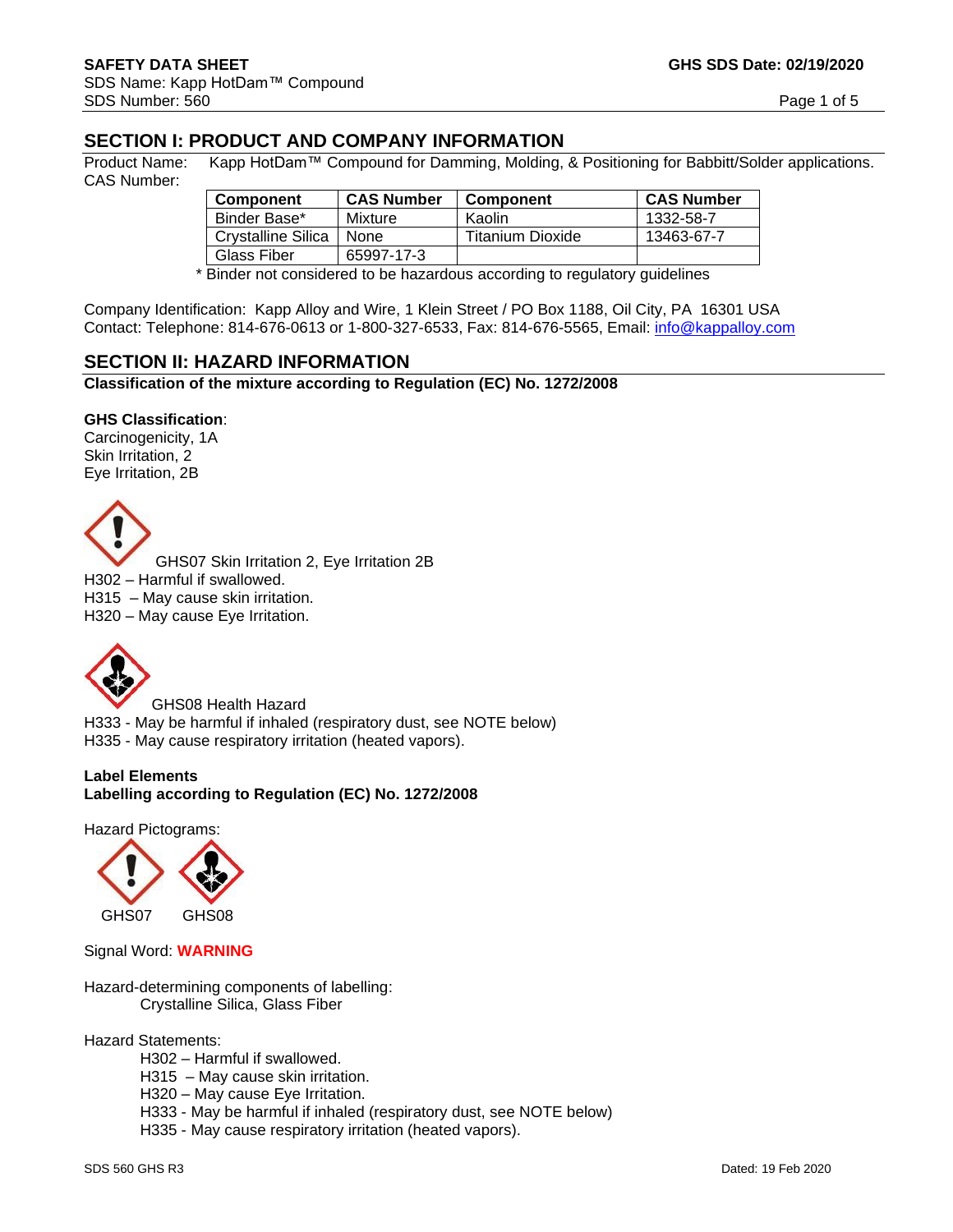# **SECTION I: PRODUCT AND COMPANY INFORMATION**

Product Name: Kapp HotDam™ Compound for Damming, Molding, & Positioning for Babbitt/Solder applications. CAS Number:

| <b>Component</b>   | <b>CAS Number</b> | <b>Component</b> | <b>CAS Number</b> |
|--------------------|-------------------|------------------|-------------------|
| Binder Base*       | Mixture           | Kaolin.          | 1332-58-7         |
| Crystalline Silica | <b>None</b>       | Titanium Dioxide | 13463-67-7        |
| Glass Fiber        | 65997-17-3        |                  |                   |

\* Binder not considered to be hazardous according to regulatory guidelines

Company Identification: Kapp Alloy and Wire, 1 Klein Street / PO Box 1188, Oil City, PA 16301 USA Contact: Telephone: 814-676-0613 or 1-800-327-6533, Fax: 814-676-5565, Email: [info@kappalloy.com](mailto:info@kappalloy.com)

### **SECTION II: HAZARD INFORMATION**

**Classification of the mixture according to Regulation (EC) No. 1272/2008**

#### **GHS Classification**:

Carcinogenicity, 1A Skin Irritation, 2 Eye Irritation, 2B



GHS07 Skin Irritation 2, Eye Irritation 2B H302 – Harmful if swallowed. H315 – May cause skin irritation. H320 – May cause Eye Irritation.



GHS08 Health Hazard H333 - May be harmful if inhaled (respiratory dust, see NOTE below) H335 - May cause respiratory irritation (heated vapors).

**Label Elements Labelling according to Regulation (EC) No. 1272/2008**

Hazard Pictograms:



Signal Word: **WARNING**

Hazard-determining components of labelling: Crystalline Silica, Glass Fiber

Hazard Statements:

- H302 Harmful if swallowed.
- H315 May cause skin irritation.

H320 – May cause Eye Irritation.

H333 - May be harmful if inhaled (respiratory dust, see NOTE below)

H335 - May cause respiratory irritation (heated vapors).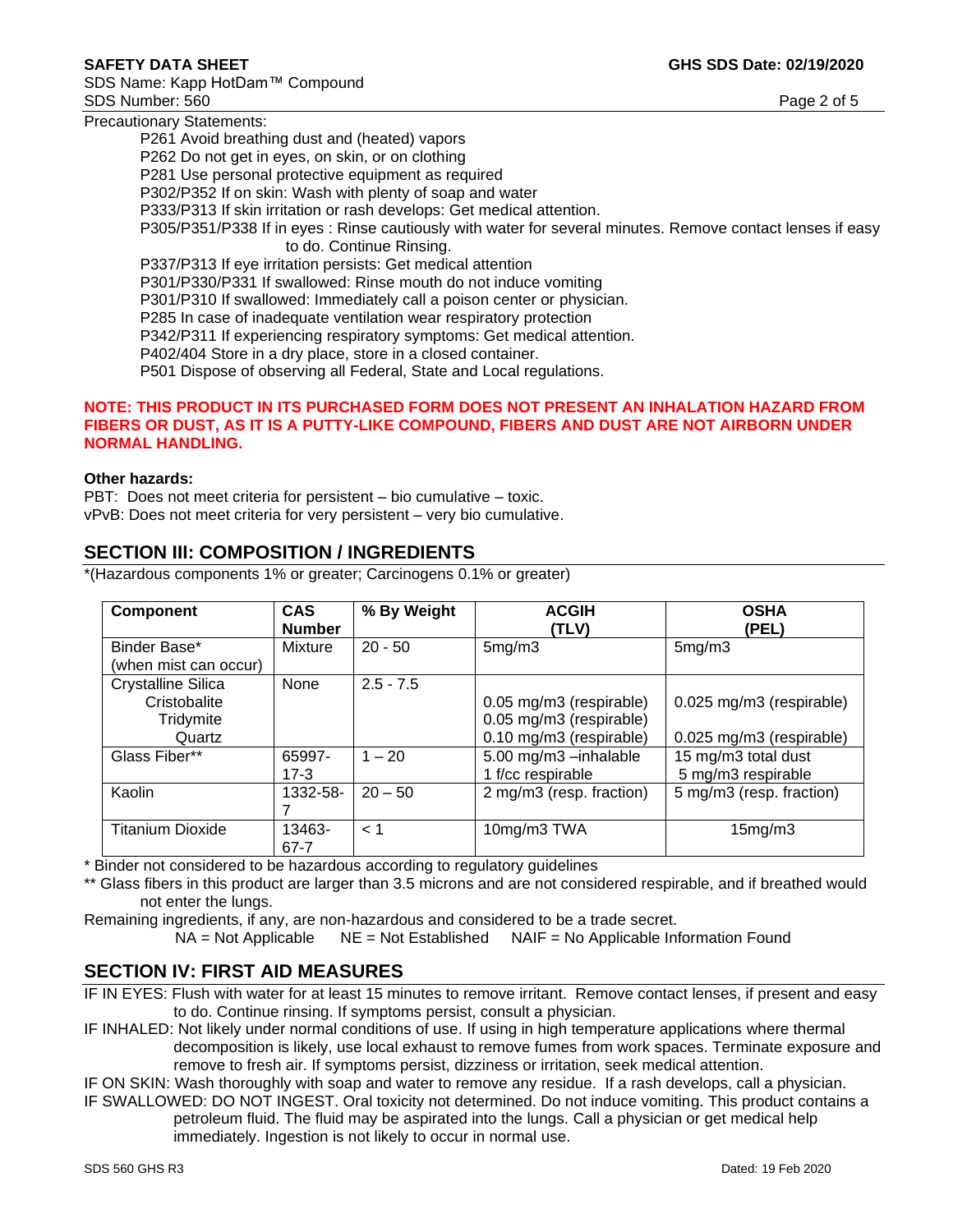SDS Name: Kapp HotDam™ Compound SDS Number: 560 Page 2 of 5

Precautionary Statements:

P261 Avoid breathing dust and (heated) vapors P262 Do not get in eyes, on skin, or on clothing P281 Use personal protective equipment as required P302/P352 If on skin: Wash with plenty of soap and water P333/P313 If skin irritation or rash develops: Get medical attention. P305/P351/P338 If in eyes : Rinse cautiously with water for several minutes. Remove contact lenses if easy to do. Continue Rinsing. P337/P313 If eye irritation persists: Get medical attention P301/P330/P331 If swallowed: Rinse mouth do not induce vomiting P301/P310 If swallowed: Immediately call a poison center or physician. P285 In case of inadequate ventilation wear respiratory protection P342/P311 If experiencing respiratory symptoms: Get medical attention. P402/404 Store in a dry place, store in a closed container. P501 Dispose of observing all Federal, State and Local regulations.

#### **NOTE: THIS PRODUCT IN ITS PURCHASED FORM DOES NOT PRESENT AN INHALATION HAZARD FROM FIBERS OR DUST, AS IT IS A PUTTY-LIKE COMPOUND, FIBERS AND DUST ARE NOT AIRBORN UNDER NORMAL HANDLING.**

### **Other hazards:**

PBT: Does not meet criteria for persistent – bio cumulative – toxic. vPvB: Does not meet criteria for very persistent – very bio cumulative.

# **SECTION III: COMPOSITION / INGREDIENTS**

\*(Hazardous components 1% or greater; Carcinogens 0.1% or greater)

| <b>Component</b>                                                 | <b>CAS</b><br><b>Number</b> | % By Weight | <b>ACGIH</b><br>(TLV)                                                         | <b>OSHA</b><br>(PEL)                                 |
|------------------------------------------------------------------|-----------------------------|-------------|-------------------------------------------------------------------------------|------------------------------------------------------|
| Binder Base*<br>(when mist can occur)                            | Mixture                     | $20 - 50$   | 5mg/m3                                                                        | 5mg/m3                                               |
| <b>Crystalline Silica</b><br>Cristobalite<br>Tridymite<br>Quartz | None                        | $2.5 - 7.5$ | 0.05 mg/m3 (respirable)<br>0.05 mg/m3 (respirable)<br>0.10 mg/m3 (respirable) | 0.025 mg/m3 (respirable)<br>0.025 mg/m3 (respirable) |
| Glass Fiber**                                                    | 65997-<br>$17 - 3$          | $1 - 20$    | 5.00 mg/m3 -inhalable<br>1 f/cc respirable                                    | 15 mg/m3 total dust<br>5 mg/m3 respirable            |
| Kaolin                                                           | 1332-58-                    | $20 - 50$   | 2 mg/m3 (resp. fraction)                                                      | 5 mg/m3 (resp. fraction)                             |
| <b>Titanium Dioxide</b>                                          | 13463-<br>67-7              | < 1         | 10mg/m3 TWA                                                                   | 15mg/m3                                              |

\* Binder not considered to be hazardous according to regulatory guidelines

\*\* Glass fibers in this product are larger than 3.5 microns and are not considered respirable, and if breathed would not enter the lungs.

Remaining ingredients, if any, are non-hazardous and considered to be a trade secret.  $NA = Not$  Applicable  $NE = Not$  Established  $NAIF = No$  Applicable Information Found

# **SECTION IV: FIRST AID MEASURES**

IF IN EYES: Flush with water for at least 15 minutes to remove irritant. Remove contact lenses, if present and easy to do. Continue rinsing. If symptoms persist, consult a physician.

IF INHALED: Not likely under normal conditions of use. If using in high temperature applications where thermal decomposition is likely, use local exhaust to remove fumes from work spaces. Terminate exposure and remove to fresh air. If symptoms persist, dizziness or irritation, seek medical attention.

IF ON SKIN: Wash thoroughly with soap and water to remove any residue. If a rash develops, call a physician.

IF SWALLOWED: DO NOT INGEST. Oral toxicity not determined. Do not induce vomiting. This product contains a petroleum fluid. The fluid may be aspirated into the lungs. Call a physician or get medical help immediately. Ingestion is not likely to occur in normal use.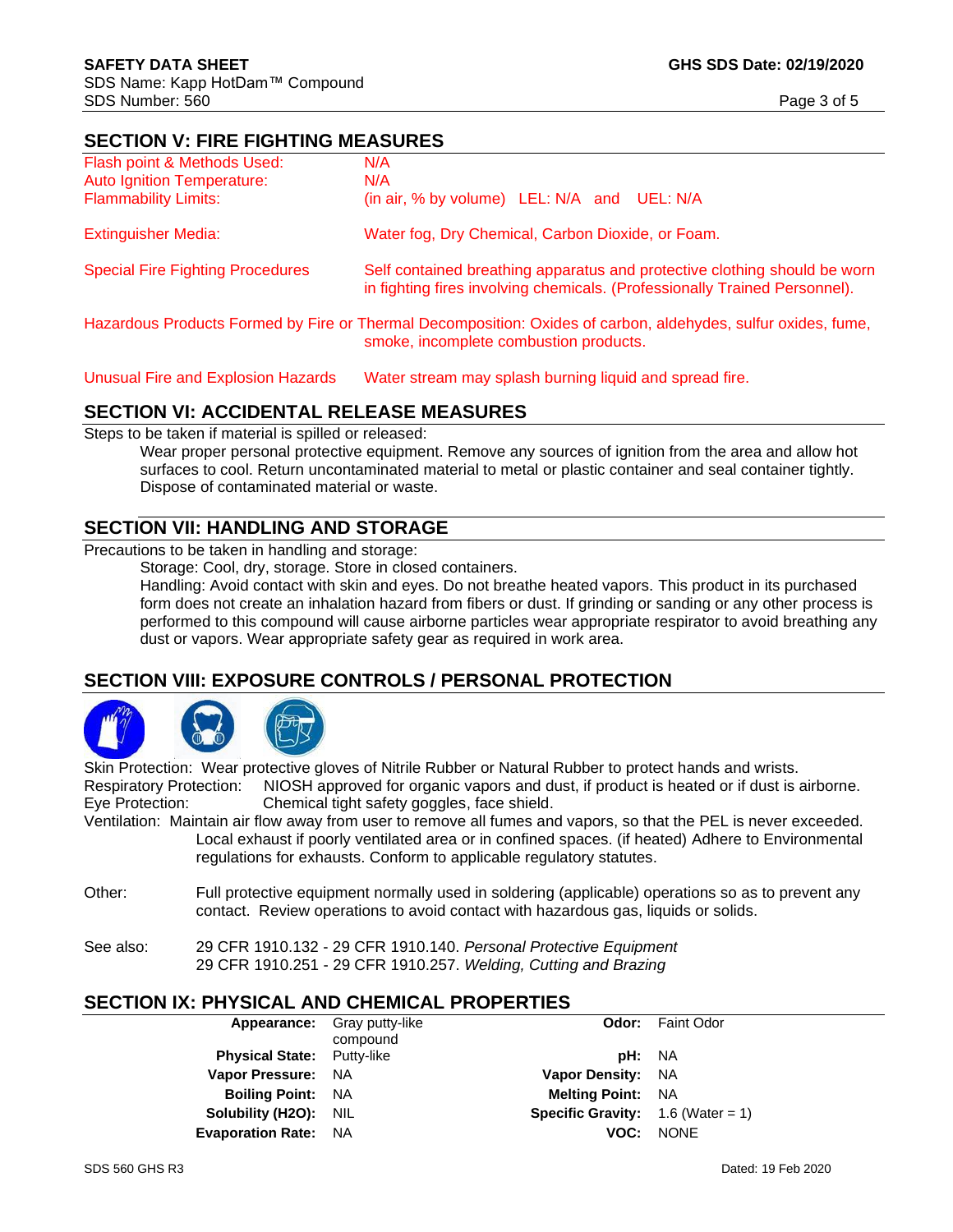# **SECTION V: FIRE FIGHTING MEASURES**

| Flash point & Methods Used:             | N/A                                                                                                                                                     |
|-----------------------------------------|---------------------------------------------------------------------------------------------------------------------------------------------------------|
| <b>Auto Ignition Temperature:</b>       | N/A                                                                                                                                                     |
| <b>Flammability Limits:</b>             | (in air, % by volume) LEL: N/A and UEL: N/A                                                                                                             |
| <b>Extinguisher Media:</b>              | Water fog, Dry Chemical, Carbon Dioxide, or Foam.                                                                                                       |
| <b>Special Fire Fighting Procedures</b> | Self contained breathing apparatus and protective clothing should be worn<br>in fighting fires involving chemicals. (Professionally Trained Personnel). |
|                                         | Hazardous Products Formed by Fire or Thermal Decomposition: Oxides of carbon, aldehydes, sulfur oxides, fume,<br>smoke, incomplete combustion products. |

Unusual Fire and Explosion Hazards Water stream may splash burning liquid and spread fire.

# **SECTION VI: ACCIDENTAL RELEASE MEASURES**

Steps to be taken if material is spilled or released:

Wear proper personal protective equipment. Remove any sources of ignition from the area and allow hot surfaces to cool. Return uncontaminated material to metal or plastic container and seal container tightly. Dispose of contaminated material or waste.

### **SECTION VII: HANDLING AND STORAGE**

Precautions to be taken in handling and storage:

Storage: Cool, dry, storage. Store in closed containers.

Handling: Avoid contact with skin and eyes. Do not breathe heated vapors. This product in its purchased form does not create an inhalation hazard from fibers or dust. If grinding or sanding or any other process is performed to this compound will cause airborne particles wear appropriate respirator to avoid breathing any dust or vapors. Wear appropriate safety gear as required in work area.

# **SECTION VIII: EXPOSURE CONTROLS / PERSONAL PROTECTION**



Skin Protection: Wear protective gloves of Nitrile Rubber or Natural Rubber to protect hands and wrists. Respiratory Protection: NIOSH approved for organic vapors and dust, if product is heated or if dust is airborne.

Eye Protection: Chemical tight safety goggles, face shield.

Ventilation: Maintain air flow away from user to remove all fumes and vapors, so that the PEL is never exceeded. Local exhaust if poorly ventilated area or in confined spaces. (if heated) Adhere to Environmental regulations for exhausts. Conform to applicable regulatory statutes.

- Other: Full protective equipment normally used in soldering (applicable) operations so as to prevent any contact. Review operations to avoid contact with hazardous gas, liquids or solids.
- See also: 29 CFR 1910.132 29 CFR 1910.140. *Personal Protective Equipment* 29 CFR 1910.251 - 29 CFR 1910.257. *Welding, Cutting and Brazing*

# **SECTION IX: PHYSICAL AND CHEMICAL PROPERTIES**

|                                   | <b>Appearance:</b> Gray putty-like<br>compound |                                            | <b>Odor:</b> Faint Odor |
|-----------------------------------|------------------------------------------------|--------------------------------------------|-------------------------|
| <b>Physical State:</b> Putty-like |                                                | <b>pH:</b> NA                              |                         |
| Vapor Pressure: NA                |                                                | <b>Vapor Density: NA</b>                   |                         |
| <b>Boiling Point: NA</b>          |                                                | <b>Melting Point: NA</b>                   |                         |
| Solubility (H2O): NIL             |                                                | <b>Specific Gravity:</b> $1.6$ (Water = 1) |                         |
| <b>Evaporation Rate: NA</b>       |                                                | VOC:                                       | <b>NONE</b>             |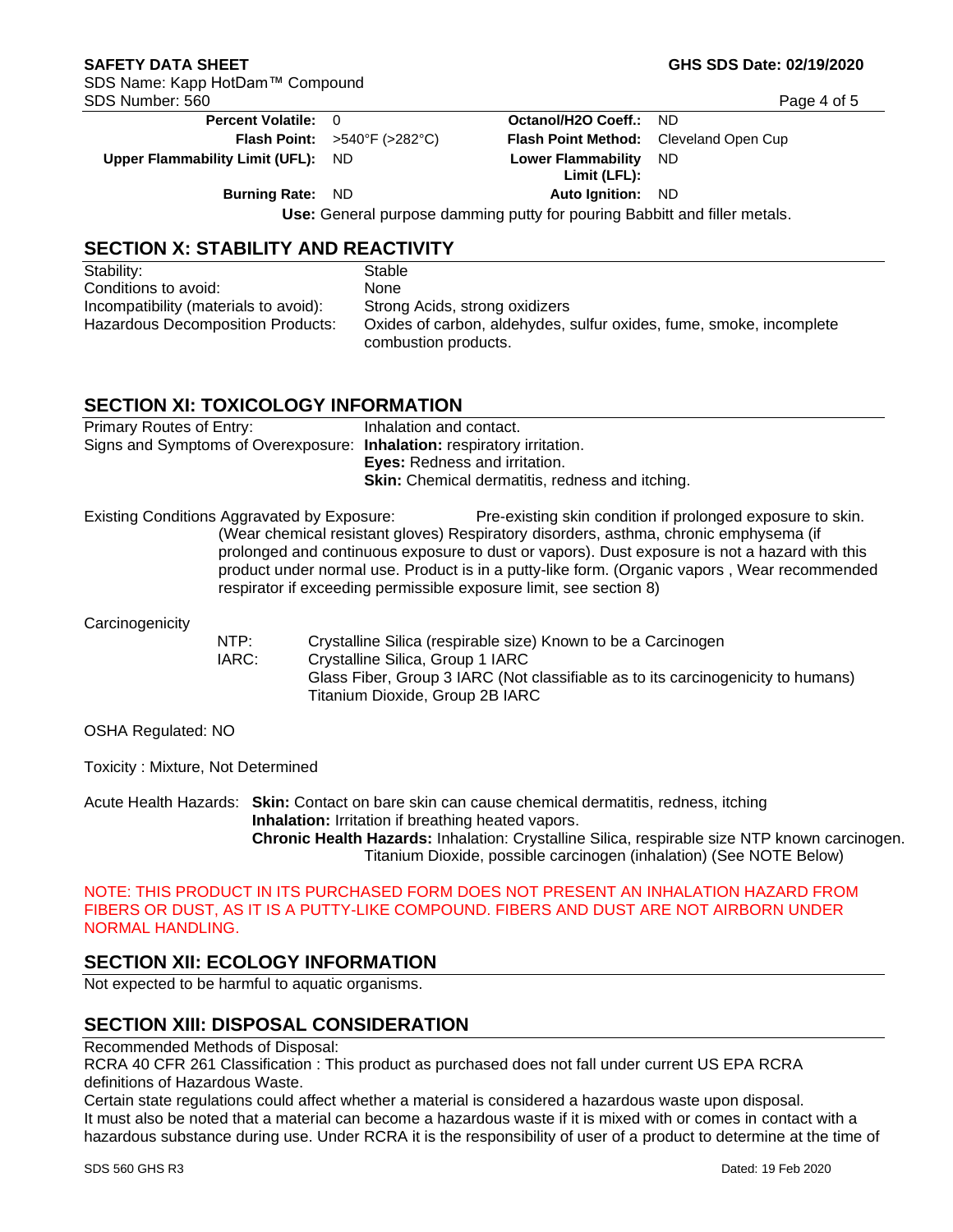**Percent Volatile:** 0 **Octanol/H2O Coeff.:** ND **Flash Point:** >540°F (>282°C) **Flash Point Method:** Cleveland Open Cup **Upper Flammability Limit (UFL):** ND **Lower Flammability Limit (LFL):**  ND **Burning Rate:** ND **Auto Ignition:** ND  **Use:** General purpose damming putty for pouring Babbitt and filler metals.

**SECTION X: STABILITY AND REACTIVITY**

| Stability:                            | Stable                                                                                      |
|---------------------------------------|---------------------------------------------------------------------------------------------|
| Conditions to avoid:                  | None                                                                                        |
| Incompatibility (materials to avoid): | Strong Acids, strong oxidizers                                                              |
| Hazardous Decomposition Products:     | Oxides of carbon, aldehydes, sulfur oxides, fume, smoke, incomplete<br>combustion products. |

# **SECTION XI: TOXICOLOGY INFORMATION**

| Primary Routes of Entry:<br>Signs and Symptoms of Overexposure: Inhalation: respiratory irritation. |                                             | Inhalation and contact.<br>Eyes: Redness and irritation.<br><b>Skin:</b> Chemical dermatitis, redness and itching. |                                                                                                                                                                                                                                                                                                                                                                                                                            |  |
|-----------------------------------------------------------------------------------------------------|---------------------------------------------|--------------------------------------------------------------------------------------------------------------------|----------------------------------------------------------------------------------------------------------------------------------------------------------------------------------------------------------------------------------------------------------------------------------------------------------------------------------------------------------------------------------------------------------------------------|--|
|                                                                                                     | Existing Conditions Aggravated by Exposure: |                                                                                                                    | Pre-existing skin condition if prolonged exposure to skin.<br>(Wear chemical resistant gloves) Respiratory disorders, asthma, chronic emphysema (if<br>prolonged and continuous exposure to dust or vapors). Dust exposure is not a hazard with this<br>product under normal use. Product is in a putty-like form. (Organic vapors, Wear recommended<br>respirator if exceeding permissible exposure limit, see section 8) |  |
| Carcinogenicity                                                                                     | NTP:<br>IARC:                               | Crystalline Silica, Group 1 IARC<br>Titanium Dioxide, Group 2B IARC                                                | Crystalline Silica (respirable size) Known to be a Carcinogen<br>Glass Fiber, Group 3 IARC (Not classifiable as to its carcinogenicity to humans)                                                                                                                                                                                                                                                                          |  |

OSHA Regulated: NO

Toxicity : Mixture, Not Determined

Acute Health Hazards: **Skin:** Contact on bare skin can cause chemical dermatitis, redness, itching **Inhalation:** Irritation if breathing heated vapors. **Chronic Health Hazards:** Inhalation: Crystalline Silica, respirable size NTP known carcinogen. Titanium Dioxide, possible carcinogen (inhalation) (See NOTE Below)

NOTE: THIS PRODUCT IN ITS PURCHASED FORM DOES NOT PRESENT AN INHALATION HAZARD FROM FIBERS OR DUST, AS IT IS A PUTTY-LIKE COMPOUND. FIBERS AND DUST ARE NOT AIRBORN UNDER NORMAL HANDLING.

# **SECTION XII: ECOLOGY INFORMATION**

Not expected to be harmful to aquatic organisms.

# **SECTION XIII: DISPOSAL CONSIDERATION**

Recommended Methods of Disposal:

RCRA 40 CFR 261 Classification : This product as purchased does not fall under current US EPA RCRA definitions of Hazardous Waste.

Certain state regulations could affect whether a material is considered a hazardous waste upon disposal. It must also be noted that a material can become a hazardous waste if it is mixed with or comes in contact with a hazardous substance during use. Under RCRA it is the responsibility of user of a product to determine at the time of